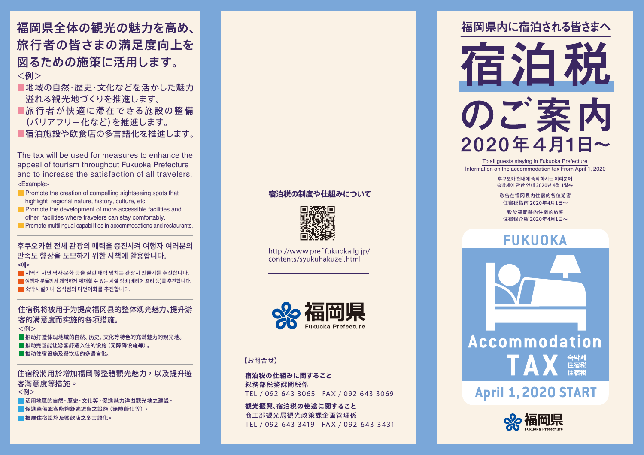福岡県全体の観光の魅力を高め、 旅行者の皆さまの満足度向上を 図るための施策に活用します。 <例>

- ■地域の自然・歴史・文化などを活かした魅力 溢れる観光地づくりを推進します。
- ■旅行者が快適に滞在できる施設の整備 (バリアフリー化など)を推進します。
- ■宿泊施設や飲食店の多言語化を推進します。

The tax will be used for measures to enhance the appeal of tourism throughout Fukuoka Prefecture and to increase the satisfaction of all travelers. Example< <

- $\blacksquare$  Promote the creation of compelling sightseeing spots that highlight regional nature, history, culture, etc.
- $\blacksquare$  Promote the development of more accessible facilities and other facilities where travelers can stay comfortably.
- $\blacksquare$  Promote multilingual capabilities in accommodations and restaurants.

#### 우쿠오카연 선제 관광의 매력을 승신시켜 여행사 여러문의 만족도 향상을 도모하기 위한 시책에 활용합니다. <예<

지역의 자연·역사·문화 등을 살린 매력 넘치는 관광지 만들기를 추진합니다. - 여행자 분들께서 쾌적하게 체재할 수 있는 시설 정비(베리어 프리 등)를 추진합니다.  $\blacksquare$  숙박시설이나 음식점의 다언어화를 추진합니다.

#### 住宿税将被用于为提高福冈县的整体观光魅力、提升游 。客的满意度而实施的各项措施 <例>

■推动打造体现地域的自然、历史、文化等特色的充满魅力的观光地。 ■推动完善能让游客舒适入住的设施(无障碍设施等)。 ■推动住宿设施及餐饮店的多语言化。

#### 住宿稅將用於增加福岡縣整體觀光魅力,以及提升游 。客滿意度等措施 ■活用地區的自然、歷史、文化等,促進魅力洋溢觀光地之建設。 <例>

■ 促推整備旅客能夠舒滴短留之設施 (無障礙化等)。

■推展住宿設施及餐飲店之多言語化。

#### 宿泊税の制度や仕組みについて



http://www.pref.fukuoka.lg.ip/ contents/syukuhakuzei.html



#### 【お問合せ】

宿泊税の仕組みに関すること 総務部税務課間税係 TEL / 092-643-3065 FAX / 092-643-3069

観光振興、宿泊税の使涂に関すること 商工部観光局観光政策課企画管理係 TEL / 092-643-3419 FAX / 092-643-3431 福岡県内に宿泊される皆さまへ



To all guests staying in Fukuoka Prefecture Information on the accommodation tax From April 1, 2020.

> 후쿠오카 현내에 숙박하시는 여러분께 숙박세에 관한 안내 2020년 4월 1일 $\sim$

敬告在福冈县内住宿的各位游客 住宿税指南 2020年4月1日~

致於福岡縣內住宿的旅客 住宿稅介紹 2020年4月1日~

### **FUKUOKA**



### **April 1, 2020 START**